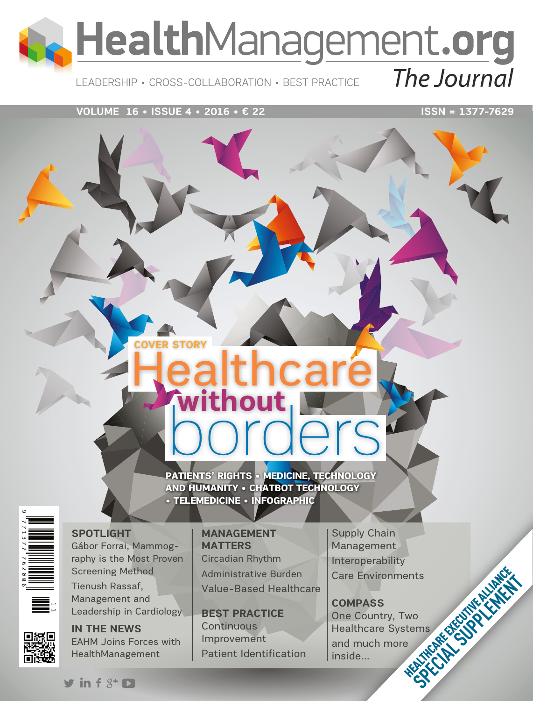# HealthManagement.org The Journal

#### Leadership • Cross-Collaboration • Best Practice

#### **VOLUME 16 • ISSUE 4 • 2016 • € 22** ISSN = 1377-7629

## borders Healthcare **without FR STORY**

Patients' Rights • Medicine, Technology and Humanity • Chatbot Technology • Telemedicine • Infographic



### **SPOTLIGHT** Gábor Forrai, Mammog-

raphy is the Most Proven Screening Method Tienush Rassaf, Management and Leadership in Cardiology

**IN THE NEWS** EAHM Joins Forces with HealthManagement

**MANAGEMENT MATTERS** Circadian Rhythm Administrative Burden Value-Based Healthcare

**BEST PRACTICE Continuous** Improvement Patient Identification Supply Chain Management Interoperability Care Environments

**COMPASS** One Country, Two Healthcare Systems and much more inside… ents<br>Wood State Alliance Special Supplementary